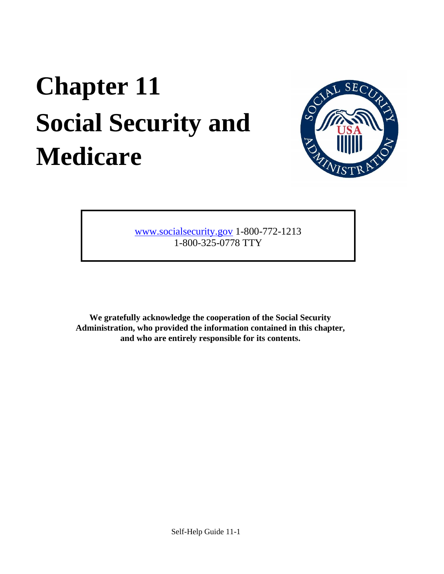# **Chapter 11 Social Security and Medicare**



[www.socialsecurity.gov](http://www.socialsecurity.gov/) [1](http://www.socialsecurity.gov/)-800-772-1213 1-800-325-0778 TTY

**We gratefully acknowledge the cooperation of the Social Security Administration, who provided the information contained in this chapter, and who are entirely responsible for its contents.**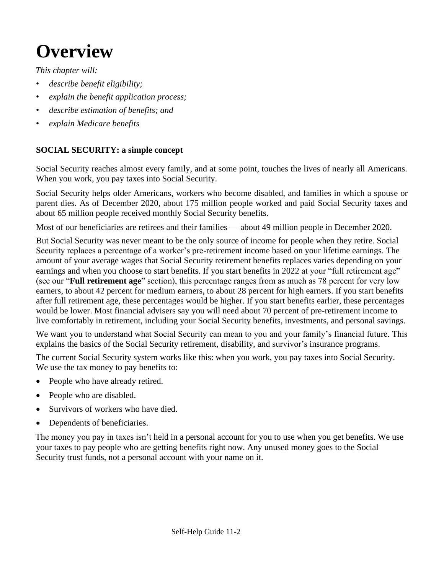# **Overview**

*This chapter will:*

- *describe benefit eligibility;*
- *explain the benefit application process;*
- *describe estimation of benefits; and*
- *explain Medicare benefits*

# **SOCIAL SECURITY: a simple concept**

Social Security reaches almost every family, and at some point, touches the lives of nearly all Americans. When you work, you pay taxes into Social Security.

Social Security helps older Americans, workers who become disabled, and families in which a spouse or parent dies. As of December 2020, about 175 million people worked and paid Social Security taxes and about 65 million people received monthly Social Security benefits.

Most of our beneficiaries are retirees and their families — about 49 million people in December 2020.

But Social Security was never meant to be the only source of income for people when they retire. Social Security replaces a percentage of a worker's pre-retirement income based on your lifetime earnings. The amount of your average wages that Social Security retirement benefits replaces varies depending on your earnings and when you choose to start benefits. If you start benefits in 2022 at your "full retirement age" (see our "**Full retirement age**" section), this percentage ranges from as much as 78 percent for very low earners, to about 42 percent for medium earners, to about 28 percent for high earners. If you start benefits after full retirement age, these percentages would be higher. If you start benefits earlier, these percentages would be lower. Most financial advisers say you will need about 70 percent of pre-retirement income to live comfortably in retirement, including your Social Security benefits, investments, and personal savings.

We want you to understand what Social Security can mean to you and your family's financial future. This explains the basics of the Social Security retirement, disability, and survivor's insurance programs.

The current Social Security system works like this: when you work, you pay taxes into Social Security. We use the tax money to pay benefits to:

- People who have already retired.
- People who are disabled.
- Survivors of workers who have died.
- Dependents of beneficiaries.

The money you pay in taxes isn't held in a personal account for you to use when you get benefits. We use your taxes to pay people who are getting benefits right now. Any unused money goes to the Social Security trust funds, not a personal account with your name on it.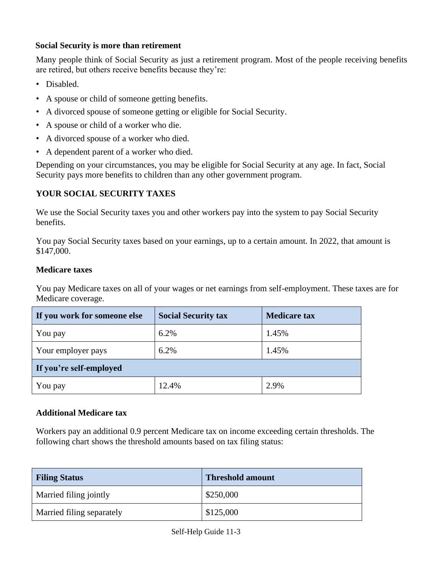## **Social Security is more than retirement**

Many people think of Social Security as just a retirement program. Most of the people receiving benefits are retired, but others receive benefits because they're:

- Disabled.
- A spouse or child of someone getting benefits.
- A divorced spouse of someone getting or eligible for Social Security.
- A spouse or child of a worker who die.
- A divorced spouse of a worker who died.
- A dependent parent of a worker who died.

Depending on your circumstances, you may be eligible for Social Security at any age. In fact, Social Security pays more benefits to children than any other government program.

#### **YOUR SOCIAL SECURITY TAXES**

We use the Social Security taxes you and other workers pay into the system to pay Social Security benefits.

You pay Social Security taxes based on your earnings, up to a certain amount. In 2022, that amount is \$147,000.

#### **Medicare taxes**

You pay Medicare taxes on all of your wages or net earnings from self-employment. These taxes are for Medicare coverage.

| If you work for someone else | <b>Social Security tax</b> | <b>Medicare tax</b> |  |  |
|------------------------------|----------------------------|---------------------|--|--|
| You pay                      | 6.2%                       | 1.45%               |  |  |
| Your employer pays           | 6.2%                       | 1.45%               |  |  |
| If you're self-employed      |                            |                     |  |  |
| You pay                      | 12.4%                      | 2.9%                |  |  |

#### **Additional Medicare tax**

Workers pay an additional 0.9 percent Medicare tax on income exceeding certain thresholds. The following chart shows the threshold amounts based on tax filing status:

| <b>Filing Status</b>      | <b>Threshold amount</b> |
|---------------------------|-------------------------|
| Married filing jointly    | \$250,000               |
| Married filing separately | \$125,000               |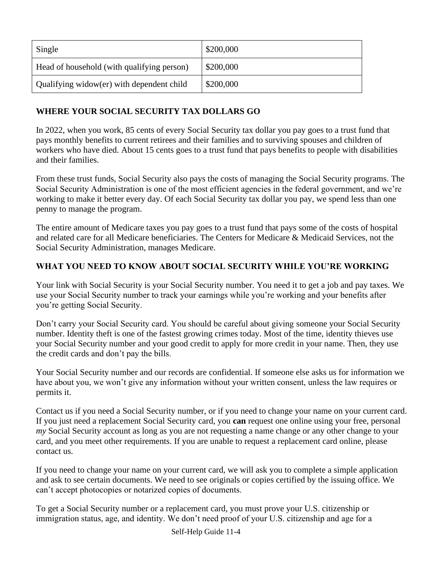| Single                                     | \$200,000 |
|--------------------------------------------|-----------|
| Head of household (with qualifying person) | \$200,000 |
| Qualifying widow(er) with dependent child  | \$200,000 |

# **WHERE YOUR SOCIAL SECURITY TAX DOLLARS GO**

In 2022, when you work, 85 cents of every Social Security tax dollar you pay goes to a trust fund that pays monthly benefits to current retirees and their families and to surviving spouses and children of workers who have died. About 15 cents goes to a trust fund that pays benefits to people with disabilities and their families.

From these trust funds, Social Security also pays the costs of managing the Social Security programs. The Social Security Administration is one of the most efficient agencies in the federal government, and we're working to make it better every day. Of each Social Security tax dollar you pay, we spend less than one penny to manage the program.

The entire amount of Medicare taxes you pay goes to a trust fund that pays some of the costs of hospital and related care for all Medicare beneficiaries. The Centers for Medicare & Medicaid Services, not the Social Security Administration, manages Medicare.

# **WHAT YOU NEED TO KNOW ABOUT SOCIAL SECURITY WHILE YOU'RE WORKING**

Your link with Social Security is your Social Security number. You need it to get a job and pay taxes. We use your Social Security number to track your earnings while you're working and your benefits after you're getting Social Security.

Don't carry your Social Security card. You should be careful about giving someone your Social Security number. Identity theft is one of the fastest growing crimes today. Most of the time, identity thieves use your Social Security number and your good credit to apply for more credit in your name. Then, they use the credit cards and don't pay the bills.

Your Social Security number and our records are confidential. If someone else asks us for information we have about you, we won't give any information without your written consent, unless the law requires or permits it.

Contact us if you need a Social Security number, or if you need to change your name on your current card. If you just need a replacement Social Security card, you **can** request one online using your free, personal *my* Social Security account as long as you are not requesting a name change or any other change to your card, and you meet other requirements. If you are unable to request a replacement card online, please contact us.

If you need to change your name on your current card, we will ask you to complete a simple application and ask to see certain documents. We need to see originals or copies certified by the issuing office. We can't accept photocopies or notarized copies of documents.

To get a Social Security number or a replacement card, you must prove your U.S. citizenship or immigration status, age, and identity. We don't need proof of your U.S. citizenship and age for a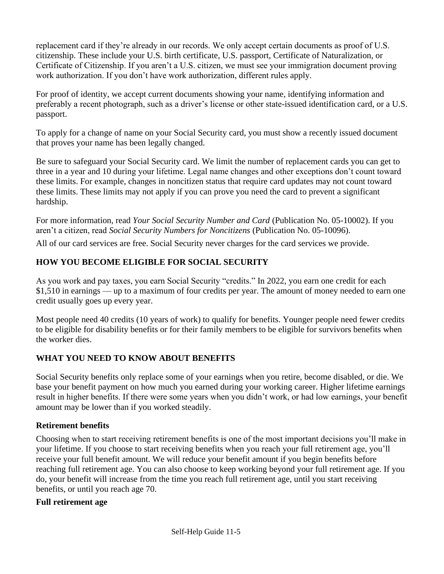replacement card if they're already in our records. We only accept certain documents as proof of U.S. citizenship. These include your U.S. birth certificate, U.S. passport, Certificate of Naturalization, or Certificate of Citizenship. If you aren't a U.S. citizen, we must see your immigration document proving work authorization. If you don't have work authorization, different rules apply.

For proof of identity, we accept current documents showing your name, identifying information and preferably a recent photograph, such as a driver's license or other state-issued identification card, or a U.S. passport.

To apply for a change of name on your Social Security card, you must show a recently issued document that proves your name has been legally changed.

Be sure to safeguard your Social Security card. We limit the number of replacement cards you can get to three in a year and 10 during your lifetime. Legal name changes and other exceptions don't count toward these limits. For example, changes in noncitizen status that require card updates may not count toward these limits. These limits may not apply if you can prove you need the card to prevent a significant hardship.

For more information, read *Your Social Security Number and Card* (Publication No. 05-10002). If you aren't a citizen, read *Social Security Numbers for Noncitizens* (Publication No. 05-10096).

All of our card services are free. Social Security never charges for the card services we provide.

# **HOW YOU BECOME ELIGIBLE FOR SOCIAL SECURITY**

As you work and pay taxes, you earn Social Security "credits." In 2022, you earn one credit for each \$1,510 in earnings — up to a maximum of four credits per year. The amount of money needed to earn one credit usually goes up every year.

Most people need 40 credits (10 years of work) to qualify for benefits. Younger people need fewer credits to be eligible for disability benefits or for their family members to be eligible for survivors benefits when the worker dies.

# **WHAT YOU NEED TO KNOW ABOUT BENEFITS**

Social Security benefits only replace some of your earnings when you retire, become disabled, or die. We base your benefit payment on how much you earned during your working career. Higher lifetime earnings result in higher benefits. If there were some years when you didn't work, or had low earnings, your benefit amount may be lower than if you worked steadily.

# **Retirement benefits**

Choosing when to start receiving retirement benefits is one of the most important decisions you'll make in your lifetime. If you choose to start receiving benefits when you reach your full retirement age, you'll receive your full benefit amount. We will reduce your benefit amount if you begin benefits before reaching full retirement age. You can also choose to keep working beyond your full retirement age. If you do, your benefit will increase from the time you reach full retirement age, until you start receiving benefits, or until you reach age 70.

#### **Full retirement age**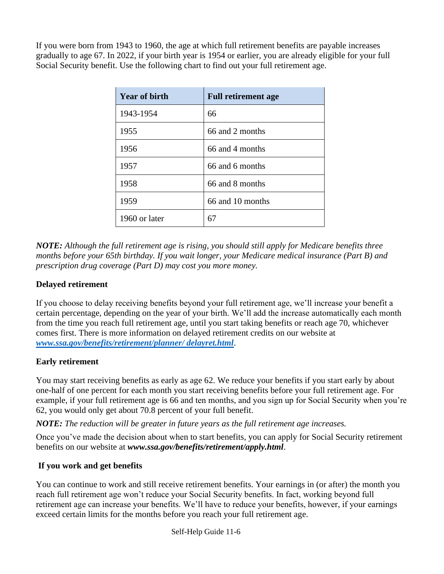If you were born from 1943 to 1960, the age at which full retirement benefits are payable increases gradually to age 67. In 2022, if your birth year is 1954 or earlier, you are already eligible for your full Social Security benefit. Use the following chart to find out your full retirement age.

| <b>Year of birth</b> | <b>Full retirement age</b> |
|----------------------|----------------------------|
| 1943-1954            | 66                         |
| 1955                 | 66 and 2 months            |
| 1956                 | 66 and 4 months            |
| 1957                 | 66 and 6 months            |
| 1958                 | 66 and 8 months            |
| 1959                 | 66 and 10 months           |
| 1960 or later        | 67                         |

*NOTE: Although the full retirement age is rising, you should still apply for Medicare benefits three months before your 65th birthday. If you wait longer, your Medicare medical insurance (Part B) and prescription drug coverage (Part D) may cost you more money.*

## **Delayed retirement**

If you choose to delay receiving benefits beyond your full retirement age, we'll increase your benefit a certain percentage, depending on the year of your birth. We'll add the increase automatically each month from the time you reach full retirement age, until you start taking benefits or reach age 70, whichever comes first. There is more information on delayed retirement credits on our website at *[www.ssa.gov/benefits/retirement/planner/ delayret.html](file://///S4BCAB1.NY.AD.SSA.GOV/shared/PAS%20Folder/Events/2022/www.ssa.gov/benefits/retirement/planner/%20delayret.html)*.

#### **Early retirement**

You may start receiving benefits as early as age 62. We reduce your benefits if you start early by about one-half of one percent for each month you start receiving benefits before your full retirement age. For example, if your full retirement age is 66 and ten months, and you sign up for Social Security when you're 62, you would only get about 70.8 percent of your full benefit.

*NOTE: The reduction will be greater in future years as the full retirement age increases.* 

Once you've made the decision about when to start benefits, you can apply for Social Security retirement benefits on our website at *www.ssa.gov/benefits/retirement/apply.html*.

#### **If you work and get benefits**

You can continue to work and still receive retirement benefits. Your earnings in (or after) the month you reach full retirement age won't reduce your Social Security benefits. In fact, working beyond full retirement age can increase your benefits. We'll have to reduce your benefits, however, if your earnings exceed certain limits for the months before you reach your full retirement age.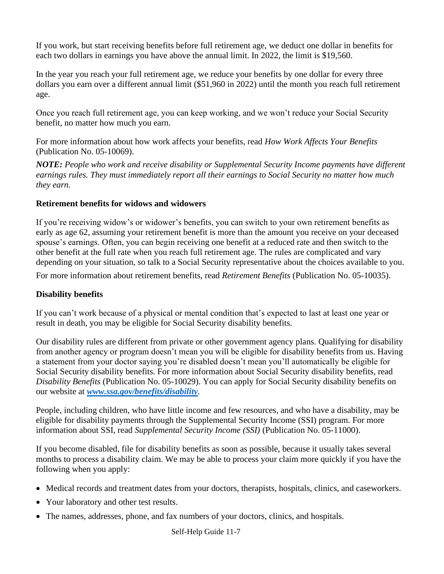If you work, but start receiving benefits before full retirement age, we deduct one dollar in benefits for each two dollars in earnings you have above the annual limit. In 2022, the limit is \$19,560.

In the year you reach your full retirement age, we reduce your benefits by one dollar for every three dollars you earn over a different annual limit (\$51,960 in 2022) until the month you reach full retirement age.

Once you reach full retirement age, you can keep working, and we won't reduce your Social Security benefit, no matter how much you earn.

For more information about how work affects your benefits, read *How Work Affects Your Benefits*  (Publication No. 05-10069).

*NOTE: People who work and receive disability or Supplemental Security Income payments have different earnings rules. They must immediately report all their earnings to Social Security no matter how much they earn.* 

#### **Retirement benefits for widows and widowers**

If you're receiving widow's or widower's benefits, you can switch to your own retirement benefits as early as age 62, assuming your retirement benefit is more than the amount you receive on your deceased spouse's earnings. Often, you can begin receiving one benefit at a reduced rate and then switch to the other benefit at the full rate when you reach full retirement age. The rules are complicated and vary depending on your situation, so talk to a Social Security representative about the choices available to you.

For more information about retirement benefits, read *Retirement Benefits* (Publication No. 05-10035).

# **Disability benefits**

If you can't work because of a physical or mental condition that's expected to last at least one year or result in death, you may be eligible for Social Security disability benefits.

Our disability rules are different from private or other government agency plans. Qualifying for disability from another agency or program doesn't mean you will be eligible for disability benefits from us. Having a statement from your doctor saying you're disabled doesn't mean you'll automatically be eligible for Social Security disability benefits. For more information about Social Security disability benefits, read *Disability Benefits* (Publication No. 05-10029). You can apply for Social Security disability benefits on our website at *[www.ssa.gov/benefits/disability](file://///S4BCAB1.NY.AD.SSA.GOV/shared/PAS%20Folder/Events/2022/www.ssa.gov/benefits/disability)*.

People, including children, who have little income and few resources, and who have a disability, may be eligible for disability payments through the Supplemental Security Income (SSI) program. For more information about SSI, read *Supplemental Security Income (SSI)* (Publication No. 05-11000).

If you become disabled, file for disability benefits as soon as possible, because it usually takes several months to process a disability claim. We may be able to process your claim more quickly if you have the following when you apply:

- Medical records and treatment dates from your doctors, therapists, hospitals, clinics, and caseworkers.
- Your laboratory and other test results.
- The names, addresses, phone, and fax numbers of your doctors, clinics, and hospitals.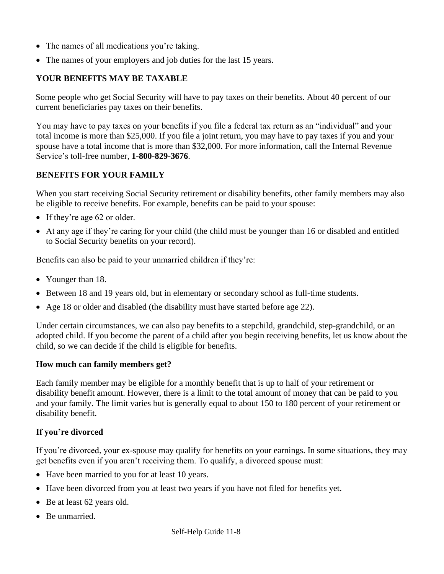- The names of all medications you're taking.
- The names of your employers and job duties for the last 15 years.

# **YOUR BENEFITS MAY BE TAXABLE**

Some people who get Social Security will have to pay taxes on their benefits. About 40 percent of our current beneficiaries pay taxes on their benefits.

You may have to pay taxes on your benefits if you file a federal tax return as an "individual" and your total income is more than \$25,000. If you file a joint return, you may have to pay taxes if you and your spouse have a total income that is more than \$32,000. For more information, call the Internal Revenue Service's toll-free number, **1-800-829-3676**.

# **BENEFITS FOR YOUR FAMILY**

When you start receiving Social Security retirement or disability benefits, other family members may also be eligible to receive benefits. For example, benefits can be paid to your spouse:

- If they're age 62 or older.
- At any age if they're caring for your child (the child must be younger than 16 or disabled and entitled to Social Security benefits on your record).

Benefits can also be paid to your unmarried children if they're:

- Younger than 18.
- Between 18 and 19 years old, but in elementary or secondary school as full-time students.
- Age 18 or older and disabled (the disability must have started before age 22).

Under certain circumstances, we can also pay benefits to a stepchild, grandchild, step-grandchild, or an adopted child. If you become the parent of a child after you begin receiving benefits, let us know about the child, so we can decide if the child is eligible for benefits.

#### **How much can family members get?**

Each family member may be eligible for a monthly benefit that is up to half of your retirement or disability benefit amount. However, there is a limit to the total amount of money that can be paid to you and your family. The limit varies but is generally equal to about 150 to 180 percent of your retirement or disability benefit.

# **If you're divorced**

If you're divorced, your ex-spouse may qualify for benefits on your earnings. In some situations, they may get benefits even if you aren't receiving them. To qualify, a divorced spouse must:

- Have been married to you for at least 10 years.
- Have been divorced from you at least two years if you have not filed for benefits yet.
- Be at least 62 years old.
- Be unmarried.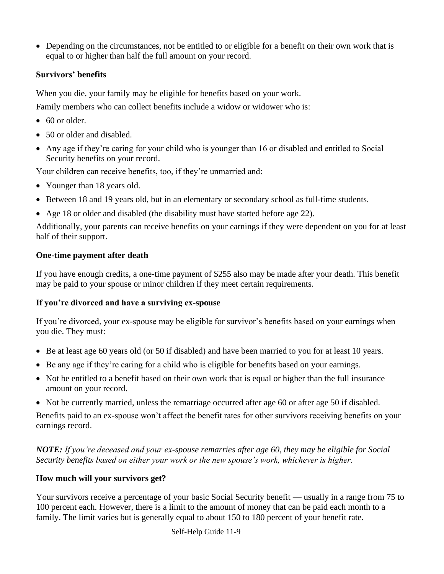• Depending on the circumstances, not be entitled to or eligible for a benefit on their own work that is equal to or higher than half the full amount on your record.

#### **Survivors' benefits**

When you die, your family may be eligible for benefits based on your work.

Family members who can collect benefits include a widow or widower who is:

- 60 or older.
- 50 or older and disabled.
- Any age if they're caring for your child who is younger than 16 or disabled and entitled to Social Security benefits on your record.

Your children can receive benefits, too, if they're unmarried and:

- Younger than 18 years old.
- Between 18 and 19 years old, but in an elementary or secondary school as full-time students.
- Age 18 or older and disabled (the disability must have started before age 22).

Additionally, your parents can receive benefits on your earnings if they were dependent on you for at least half of their support.

#### **One-time payment after death**

If you have enough credits, a one-time payment of \$255 also may be made after your death. This benefit may be paid to your spouse or minor children if they meet certain requirements.

# **If you're divorced and have a surviving ex-spouse**

If you're divorced, your ex-spouse may be eligible for survivor's benefits based on your earnings when you die. They must:

- Be at least age 60 years old (or 50 if disabled) and have been married to you for at least 10 years.
- Be any age if they're caring for a child who is eligible for benefits based on your earnings.
- Not be entitled to a benefit based on their own work that is equal or higher than the full insurance amount on your record.
- Not be currently married, unless the remarriage occurred after age 60 or after age 50 if disabled.

Benefits paid to an ex-spouse won't affect the benefit rates for other survivors receiving benefits on your earnings record.

*NOTE: If you're deceased and your ex-spouse remarries after age 60, they may be eligible for Social Security benefits based on either your work or the new spouse's work, whichever is higher.*

#### **How much will your survivors get?**

Your survivors receive a percentage of your basic Social Security benefit — usually in a range from 75 to 100 percent each. However, there is a limit to the amount of money that can be paid each month to a family. The limit varies but is generally equal to about 150 to 180 percent of your benefit rate.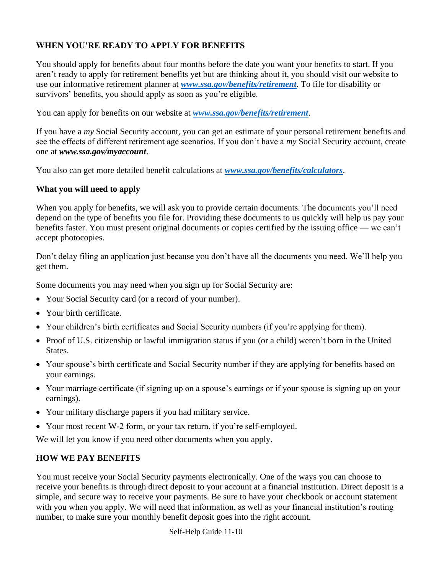# **WHEN YOU'RE READY TO APPLY FOR BENEFITS**

You should apply for benefits about four months before the date you want your benefits to start. If you aren't ready to apply for retirement benefits yet but are thinking about it, you should visit our website to use our informative retirement planner at *[www.ssa.gov/benefits/retirement](file://///S4BCAB1.NY.AD.SSA.GOV/shared/PAS%20Folder/Events/2022/www.ssa.gov/benefits/retirement)*. To file for disability or survivors' benefits, you should apply as soon as you're eligible.

You can apply for benefits on our website at *[www.ssa.gov/benefits/retirement](file://///S4BCAB1.NY.AD.SSA.GOV/shared/PAS%20Folder/Events/2022/www.ssa.gov/benefits/retirement)*.

If you have a *my* Social Security account, you can get an estimate of your personal retirement benefits and see the effects of different retirement age scenarios. If you don't have a *my* Social Security account, create one at *www.ssa.gov/myaccount*.

You also can get more detailed benefit calculations at *[www.ssa.gov/benefits/calculators](http://www.ssa.gov/benefits/calculators)*.

#### **What you will need to apply**

When you apply for benefits, we will ask you to provide certain documents. The documents you'll need depend on the type of benefits you file for. Providing these documents to us quickly will help us pay your benefits faster. You must present original documents or copies certified by the issuing office — we can't accept photocopies.

Don't delay filing an application just because you don't have all the documents you need. We'll help you get them.

Some documents you may need when you sign up for Social Security are:

- Your Social Security card (or a record of your number).
- Your birth certificate.
- Your children's birth certificates and Social Security numbers (if you're applying for them).
- Proof of U.S. citizenship or lawful immigration status if you (or a child) weren't born in the United States.
- Your spouse's birth certificate and Social Security number if they are applying for benefits based on your earnings.
- Your marriage certificate (if signing up on a spouse's earnings or if your spouse is signing up on your earnings).
- Your military discharge papers if you had military service.
- Your most recent W-2 form, or your tax return, if you're self-employed.

We will let you know if you need other documents when you apply.

#### **HOW WE PAY BENEFITS**

You must receive your Social Security payments electronically. One of the ways you can choose to receive your benefits is through direct deposit to your account at a financial institution. Direct deposit is a simple, and secure way to receive your payments. Be sure to have your checkbook or account statement with you when you apply. We will need that information, as well as your financial institution's routing number, to make sure your monthly benefit deposit goes into the right account.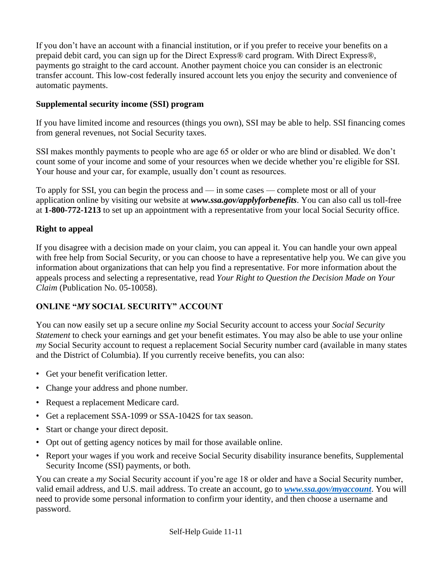If you don't have an account with a financial institution, or if you prefer to receive your benefits on a prepaid debit card, you can sign up for the Direct Express® card program. With Direct Express®, payments go straight to the card account. Another payment choice you can consider is an electronic transfer account. This low-cost federally insured account lets you enjoy the security and convenience of automatic payments.

## **Supplemental security income (SSI) program**

If you have limited income and resources (things you own), SSI may be able to help. SSI financing comes from general revenues, not Social Security taxes.

SSI makes monthly payments to people who are age 65 or older or who are blind or disabled. We don't count some of your income and some of your resources when we decide whether you're eligible for SSI. Your house and your car, for example, usually don't count as resources.

To apply for SSI, you can begin the process and — in some cases — complete most or all of your application online by visiting our website at *www.ssa.gov/applyforbenefits*. You can also call us toll-free at **1-800-772-1213** to set up an appointment with a representative from your local Social Security office.

#### **Right to appeal**

If you disagree with a decision made on your claim, you can appeal it. You can handle your own appeal with free help from Social Security, or you can choose to have a representative help you. We can give you information about organizations that can help you find a representative. For more information about the appeals process and selecting a representative, read *Your Right to Question the Decision Made on Your Claim* (Publication No. 05-10058).

# **ONLINE "***MY* **SOCIAL SECURITY" ACCOUNT**

You can now easily set up a secure online *my* Social Security account to access your *Social Security Statement* to check your earnings and get your benefit estimates. You may also be able to use your online *my* Social Security account to request a replacement Social Security number card (available in many states and the District of Columbia). If you currently receive benefits, you can also:

- Get your benefit verification letter.
- Change your address and phone number.
- Request a replacement Medicare card.
- Get a replacement SSA-1099 or SSA-1042S for tax season.
- Start or change your direct deposit.
- Opt out of getting agency notices by mail for those available online.
- Report your wages if you work and receive Social Security disability insurance benefits, Supplemental Security Income (SSI) payments, or both.

You can create a *my* Social Security account if you're age 18 or older and have a Social Security number, valid email address, and U.S. mail address. To create an account, go to *[www.ssa.gov/myaccount](file://///S4BCAB1.NY.AD.SSA.GOV/shared/PAS%20Folder/Events/2022/www.ssa.gov/myaccount)*. You will need to provide some personal information to confirm your identity, and then choose a username and password.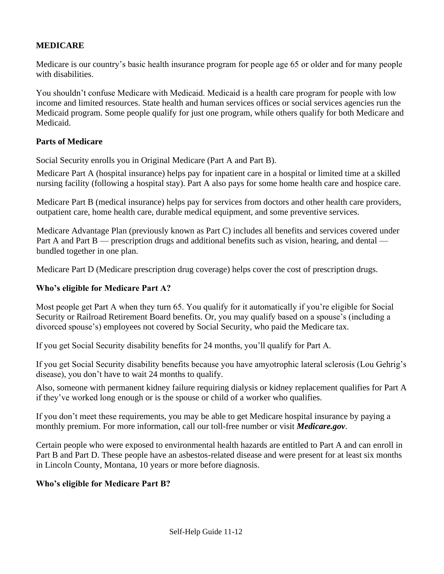#### **MEDICARE**

Medicare is our country's basic health insurance program for people age 65 or older and for many people with disabilities.

You shouldn't confuse Medicare with Medicaid. Medicaid is a health care program for people with low income and limited resources. State health and human services offices or social services agencies run the Medicaid program. Some people qualify for just one program, while others qualify for both Medicare and Medicaid.

#### **Parts of Medicare**

Social Security enrolls you in Original Medicare (Part A and Part B).

Medicare Part A (hospital insurance) helps pay for inpatient care in a hospital or limited time at a skilled nursing facility (following a hospital stay). Part A also pays for some home health care and hospice care.

Medicare Part B (medical insurance) helps pay for services from doctors and other health care providers, outpatient care, home health care, durable medical equipment, and some preventive services.

Medicare Advantage Plan (previously known as Part C) includes all benefits and services covered under Part A and Part B — prescription drugs and additional benefits such as vision, hearing, and dental bundled together in one plan.

Medicare Part D (Medicare prescription drug coverage) helps cover the cost of prescription drugs.

#### **Who's eligible for Medicare Part A?**

Most people get Part A when they turn 65. You qualify for it automatically if you're eligible for Social Security or Railroad Retirement Board benefits. Or, you may qualify based on a spouse's (including a divorced spouse's) employees not covered by Social Security, who paid the Medicare tax.

If you get Social Security disability benefits for 24 months, you'll qualify for Part A.

If you get Social Security disability benefits because you have amyotrophic lateral sclerosis (Lou Gehrig's disease), you don't have to wait 24 months to qualify.

Also, someone with permanent kidney failure requiring dialysis or kidney replacement qualifies for Part A if they've worked long enough or is the spouse or child of a worker who qualifies.

If you don't meet these requirements, you may be able to get Medicare hospital insurance by paying a monthly premium. For more information, call our toll-free number or visit *Medicare.gov*.

Certain people who were exposed to environmental health hazards are entitled to Part A and can enroll in Part B and Part D. These people have an asbestos-related disease and were present for at least six months in Lincoln County, Montana, 10 years or more before diagnosis.

#### **Who's eligible for Medicare Part B?**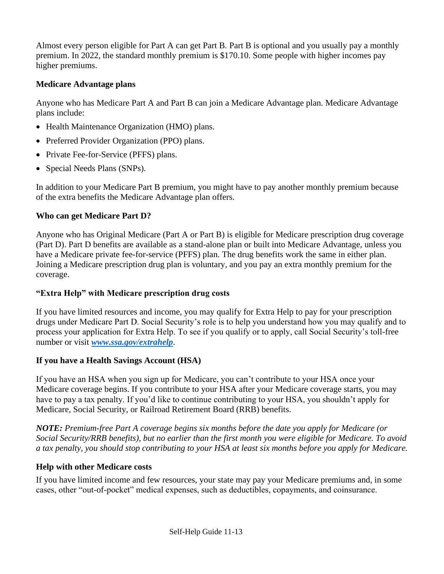Almost every person eligible for Part A can get Part B. Part B is optional and you usually pay a monthly premium. In 2022, the standard monthly premium is \$170.10. Some people with higher incomes pay higher premiums.

# **Medicare Advantage plans**

Anyone who has Medicare Part A and Part B can join a Medicare Advantage plan. Medicare Advantage plans include:

- Health Maintenance Organization (HMO) plans.
- Preferred Provider Organization (PPO) plans.
- Private Fee-for-Service (PFFS) plans.
- Special Needs Plans (SNPs).

In addition to your Medicare Part B premium, you might have to pay another monthly premium because of the extra benefits the Medicare Advantage plan offers.

# **Who can get Medicare Part D?**

Anyone who has Original Medicare (Part A or Part B) is eligible for Medicare prescription drug coverage (Part D). Part D benefits are available as a stand-alone plan or built into Medicare Advantage, unless you have a Medicare private fee-for-service (PFFS) plan. The drug benefits work the same in either plan. Joining a Medicare prescription drug plan is voluntary, and you pay an extra monthly premium for the coverage.

# **"Extra Help" with Medicare prescription drug costs**

If you have limited resources and income, you may qualify for Extra Help to pay for your prescription drugs under Medicare Part D. Social Security's role is to help you understand how you may qualify and to process your application for Extra Help. To see if you qualify or to apply, call Social Security's toll-free number or visit *[www.ssa.gov/extrahelp](http://www.ssa.gov/extrahelp)*.

# **If you have a Health Savings Account (HSA)**

If you have an HSA when you sign up for Medicare, you can't contribute to your HSA once your Medicare coverage begins. If you contribute to your HSA after your Medicare coverage starts, you may have to pay a tax penalty. If you'd like to continue contributing to your HSA, you shouldn't apply for Medicare, Social Security, or Railroad Retirement Board (RRB) benefits.

*NOTE: Premium-free Part A coverage begins six months before the date you apply for Medicare (or Social Security/RRB benefits), but no earlier than the first month you were eligible for Medicare. To avoid a tax penalty, you should stop contributing to your HSA at least six months before you apply for Medicare.* 

# **Help with other Medicare costs**

If you have limited income and few resources, your state may pay your Medicare premiums and, in some cases, other "out-of-pocket" medical expenses, such as deductibles, copayments, and coinsurance.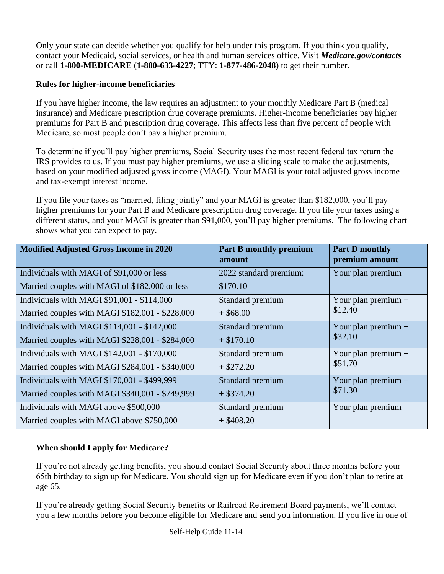Only your state can decide whether you qualify for help under this program. If you think you qualify, contact your Medicaid, social services, or health and human services office. Visit *Medicare.gov/contacts*  or call **1-800-MEDICARE** (**1-800-633-4227**; TTY: **1-877-486-2048**) to get their number.

# **Rules for higher-income beneficiaries**

If you have higher income, the law requires an adjustment to your monthly Medicare Part B (medical insurance) and Medicare prescription drug coverage premiums. Higher-income beneficiaries pay higher premiums for Part B and prescription drug coverage. This affects less than five percent of people with Medicare, so most people don't pay a higher premium.

To determine if you'll pay higher premiums, Social Security uses the most recent federal tax return the IRS provides to us. If you must pay higher premiums, we use a sliding scale to make the adjustments, based on your modified adjusted gross income (MAGI). Your MAGI is your total adjusted gross income and tax-exempt interest income.

If you file your taxes as "married, filing jointly" and your MAGI is greater than \$182,000, you'll pay higher premiums for your Part B and Medicare prescription drug coverage. If you file your taxes using a different status, and your MAGI is greater than \$91,000, you'll pay higher premiums. The following chart shows what you can expect to pay.

| <b>Modified Adjusted Gross Income in 2020</b>   | <b>Part B monthly premium</b><br>amount | <b>Part D monthly</b><br>premium amount |
|-------------------------------------------------|-----------------------------------------|-----------------------------------------|
| Individuals with MAGI of \$91,000 or less       | 2022 standard premium:                  | Your plan premium                       |
| Married couples with MAGI of \$182,000 or less  | \$170.10                                |                                         |
| Individuals with MAGI \$91,001 - \$114,000      | Standard premium                        | Your plan premium $+$                   |
| Married couples with MAGI \$182,001 - \$228,000 | $+$ \$68.00                             | \$12.40                                 |
| Individuals with MAGI \$114,001 - \$142,000     | Standard premium                        | Your plan premium $+$                   |
| Married couples with MAGI \$228,001 - \$284,000 | $+$ \$170.10                            | \$32.10                                 |
| Individuals with MAGI $$142,001 - $170,000$     | Standard premium                        | Your plan premium $+$                   |
| Married couples with MAGI \$284,001 - \$340,000 | $+$ \$272.20                            | \$51.70                                 |
| Individuals with MAGI \$170,001 - \$499,999     | Standard premium                        | Your plan premium $+$                   |
| Married couples with MAGI \$340,001 - \$749,999 | $+$ \$374.20                            | \$71.30                                 |
| Individuals with MAGI above \$500,000           | Standard premium                        | Your plan premium                       |
| Married couples with MAGI above \$750,000       | $+$ \$408.20                            |                                         |

# **When should I apply for Medicare?**

If you're not already getting benefits, you should contact Social Security about three months before your 65th birthday to sign up for Medicare. You should sign up for Medicare even if you don't plan to retire at age 65.

If you're already getting Social Security benefits or Railroad Retirement Board payments, we'll contact you a few months before you become eligible for Medicare and send you information. If you live in one of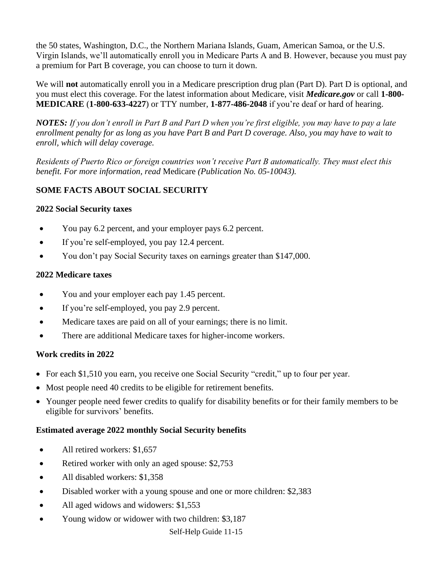the 50 states, Washington, D.C., the Northern Mariana Islands, Guam, American Samoa, or the U.S. Virgin Islands, we'll automatically enroll you in Medicare Parts A and B. However, because you must pay a premium for Part B coverage, you can choose to turn it down.

We will **not** automatically enroll you in a Medicare prescription drug plan (Part D). Part D is optional, and you must elect this coverage. For the latest information about Medicare, visit *Medicare.gov* or call **1-800- MEDICARE** (**1-800-633-4227**) or TTY number, **1-877-486-2048** if you're deaf or hard of hearing.

*NOTES: If you don't enroll in Part B and Part D when you're first eligible, you may have to pay a late enrollment penalty for as long as you have Part B and Part D coverage. Also, you may have to wait to enroll, which will delay coverage.* 

*Residents of Puerto Rico or foreign countries won't receive Part B automatically. They must elect this benefit. For more information, read* Medicare *(Publication No. 05-10043).*

# **SOME FACTS ABOUT SOCIAL SECURITY**

#### **2022 Social Security taxes**

- You pay 6.2 percent, and your employer pays 6.2 percent.
- If you're self-employed, you pay 12.4 percent.
- You don't pay Social Security taxes on earnings greater than \$147,000.

#### **2022 Medicare taxes**

- You and your employer each pay 1.45 percent.
- If you're self-employed, you pay 2.9 percent.
- Medicare taxes are paid on all of your earnings; there is no limit.
- There are additional Medicare taxes for higher-income workers.

#### **Work credits in 2022**

- For each \$1,510 you earn, you receive one Social Security "credit," up to four per year.
- Most people need 40 credits to be eligible for retirement benefits.
- Younger people need fewer credits to qualify for disability benefits or for their family members to be eligible for survivors' benefits.

#### **Estimated average 2022 monthly Social Security benefits**

- All retired workers: \$1,657
- Retired worker with only an aged spouse: \$2,753
- All disabled workers: \$1,358
- Disabled worker with a young spouse and one or more children: \$2,383
- All aged widows and widowers: \$1,553
- Young widow or widower with two children: \$3,187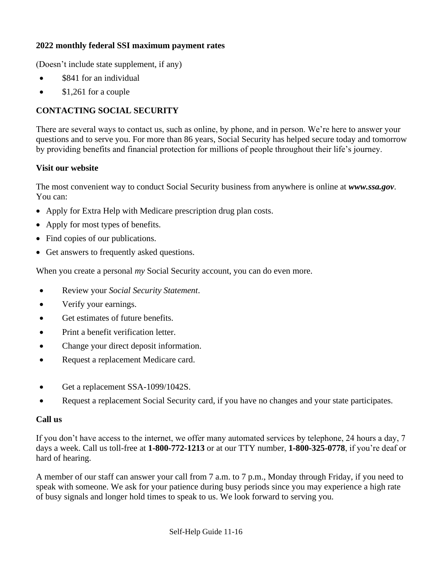#### **2022 monthly federal SSI maximum payment rates**

(Doesn't include state supplement, if any)

- \$841 for an individual
- \$1,261 for a couple

# **CONTACTING SOCIAL SECURITY**

There are several ways to contact us, such as online, by phone, and in person. We're here to answer your questions and to serve you. For more than 86 years, Social Security has helped secure today and tomorrow by providing benefits and financial protection for millions of people throughout their life's journey.

#### **Visit our website**

The most convenient way to conduct Social Security business from anywhere is online at *www.ssa.gov*. You can:

- Apply for Extra Help with Medicare prescription drug plan costs.
- Apply for most types of benefits.
- Find copies of our publications.
- Get answers to frequently asked questions.

When you create a personal *my* Social Security account, you can do even more.

- Review your *Social Security Statement*.
- Verify your earnings.
- Get estimates of future benefits.
- Print a benefit verification letter.
- Change your direct deposit information.
- Request a replacement Medicare card.
- Get a replacement SSA-1099/1042S.
- Request a replacement Social Security card, if you have no changes and your state participates.

#### **Call us**

If you don't have access to the internet, we offer many automated services by telephone, 24 hours a day, 7 days a week. Call us toll-free at **1-800-772-1213** or at our TTY number, **1-800-325-0778**, if you're deaf or hard of hearing.

A member of our staff can answer your call from 7 a.m. to 7 p.m., Monday through Friday, if you need to speak with someone. We ask for your patience during busy periods since you may experience a high rate of busy signals and longer hold times to speak to us. We look forward to serving you.